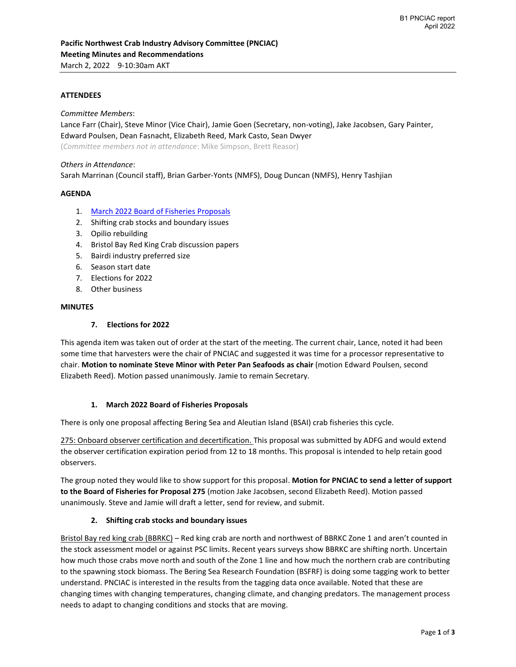### **ATTENDEES**

*Committee Members*:

Lance Farr (Chair), Steve Minor (Vice Chair), Jamie Goen (Secretary, non-voting), Jake Jacobsen, Gary Painter, Edward Poulsen, Dean Fasnacht, Elizabeth Reed, Mark Casto, Sean Dwyer

(*Committee members not in attendance*: Mike Simpson, Brett Reasor)

#### *Others in Attendance*:

Sarah Marrinan (Council staff), Brian Garber-Yonts (NMFS), Doug Duncan (NMFS), Henry Tashjian

#### **AGENDA**

- 1. [March 2022 Board of Fisheries Proposals](http://www.adfg.alaska.gov/index.cfm?adfg=fisheriesboard.meetinginfo&date=03-26-2022&meeting=anchorage#,fixed,,5,)
- 2. Shifting crab stocks and boundary issues
- 3. Opilio rebuilding
- 4. Bristol Bay Red King Crab discussion papers
- 5. Bairdi industry preferred size
- 6. Season start date
- 7. Elections for 2022
- 8. Other business

#### **MINUTES**

### **7. Elections for 2022**

This agenda item was taken out of order at the start of the meeting. The current chair, Lance, noted it had been some time that harvesters were the chair of PNCIAC and suggested it was time for a processor representative to chair. **Motion to nominate Steve Minor with Peter Pan Seafoods as chair** (motion Edward Poulsen, second Elizabeth Reed). Motion passed unanimously. Jamie to remain Secretary.

#### **1. March 2022 Board of Fisheries Proposals**

There is only one proposal affecting Bering Sea and Aleutian Island (BSAI) crab fisheries this cycle.

275: Onboard observer certification and decertification. This proposal was submitted by ADFG and would extend the observer certification expiration period from 12 to 18 months. This proposal is intended to help retain good observers.

The group noted they would like to show support for this proposal. **Motion for PNCIAC to send a letter of support to the Board of Fisheries for Proposal 275** (motion Jake Jacobsen, second Elizabeth Reed). Motion passed unanimously. Steve and Jamie will draft a letter, send for review, and submit.

#### **2. Shifting crab stocks and boundary issues**

Bristol Bay red king crab (BBRKC) – Red king crab are north and northwest of BBRKC Zone 1 and aren't counted in the stock assessment model or against PSC limits. Recent years surveys show BBRKC are shifting north. Uncertain how much those crabs move north and south of the Zone 1 line and how much the northern crab are contributing to the spawning stock biomass. The Bering Sea Research Foundation (BSFRF) is doing some tagging work to better understand. PNCIAC is interested in the results from the tagging data once available. Noted that these are changing times with changing temperatures, changing climate, and changing predators. The management process needs to adapt to changing conditions and stocks that are moving.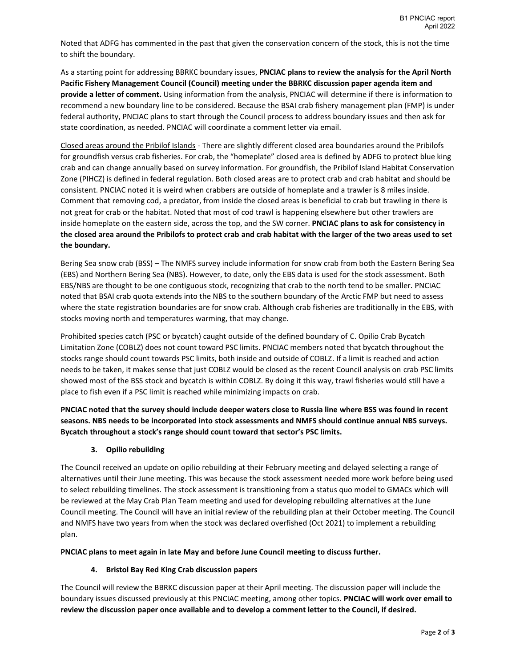Noted that ADFG has commented in the past that given the conservation concern of the stock, this is not the time to shift the boundary.

As a starting point for addressing BBRKC boundary issues, **PNCIAC plans to review the analysis for the April North Pacific Fishery Management Council (Council) meeting under the BBRKC discussion paper agenda item and provide a letter of comment.** Using information from the analysis, PNCIAC will determine if there is information to recommend a new boundary line to be considered. Because the BSAI crab fishery management plan (FMP) is under federal authority, PNCIAC plans to start through the Council process to address boundary issues and then ask for state coordination, as needed. PNCIAC will coordinate a comment letter via email.

Closed areas around the Pribilof Islands - There are slightly different closed area boundaries around the Pribilofs for groundfish versus crab fisheries. For crab, the "homeplate" closed area is defined by ADFG to protect blue king crab and can change annually based on survey information. For groundfish, the Pribilof Island Habitat Conservation Zone (PIHCZ) is defined in federal regulation. Both closed areas are to protect crab and crab habitat and should be consistent. PNCIAC noted it is weird when crabbers are outside of homeplate and a trawler is 8 miles inside. Comment that removing cod, a predator, from inside the closed areas is beneficial to crab but trawling in there is not great for crab or the habitat. Noted that most of cod trawl is happening elsewhere but other trawlers are inside homeplate on the eastern side, across the top, and the SW corner. **PNCIAC plans to ask for consistency in the closed area around the Pribilofs to protect crab and crab habitat with the larger of the two areas used to set the boundary.**

Bering Sea snow crab (BSS) – The NMFS survey include information for snow crab from both the Eastern Bering Sea (EBS) and Northern Bering Sea (NBS). However, to date, only the EBS data is used for the stock assessment. Both EBS/NBS are thought to be one contiguous stock, recognizing that crab to the north tend to be smaller. PNCIAC noted that BSAI crab quota extends into the NBS to the southern boundary of the Arctic FMP but need to assess where the state registration boundaries are for snow crab. Although crab fisheries are traditionally in the EBS, with stocks moving north and temperatures warming, that may change.

Prohibited species catch (PSC or bycatch) caught outside of the defined boundary of C. Opilio Crab Bycatch Limitation Zone (COBLZ) does not count toward PSC limits. PNCIAC members noted that bycatch throughout the stocks range should count towards PSC limits, both inside and outside of COBLZ. If a limit is reached and action needs to be taken, it makes sense that just COBLZ would be closed as the recent Council analysis on crab PSC limits showed most of the BSS stock and bycatch is within COBLZ. By doing it this way, trawl fisheries would still have a place to fish even if a PSC limit is reached while minimizing impacts on crab.

**PNCIAC noted that the survey should include deeper waters close to Russia line where BSS was found in recent seasons. NBS needs to be incorporated into stock assessments and NMFS should continue annual NBS surveys. Bycatch throughout a stock's range should count toward that sector's PSC limits.** 

# **3. Opilio rebuilding**

The Council received an update on opilio rebuilding at their February meeting and delayed selecting a range of alternatives until their June meeting. This was because the stock assessment needed more work before being used to select rebuilding timelines. The stock assessment is transitioning from a status quo model to GMACs which will be reviewed at the May Crab Plan Team meeting and used for developing rebuilding alternatives at the June Council meeting. The Council will have an initial review of the rebuilding plan at their October meeting. The Council and NMFS have two years from when the stock was declared overfished (Oct 2021) to implement a rebuilding plan.

**PNCIAC plans to meet again in late May and before June Council meeting to discuss further.**

# **4. Bristol Bay Red King Crab discussion papers**

The Council will review the BBRKC discussion paper at their April meeting. The discussion paper will include the boundary issues discussed previously at this PNCIAC meeting, among other topics. **PNCIAC will work over email to review the discussion paper once available and to develop a comment letter to the Council, if desired.**